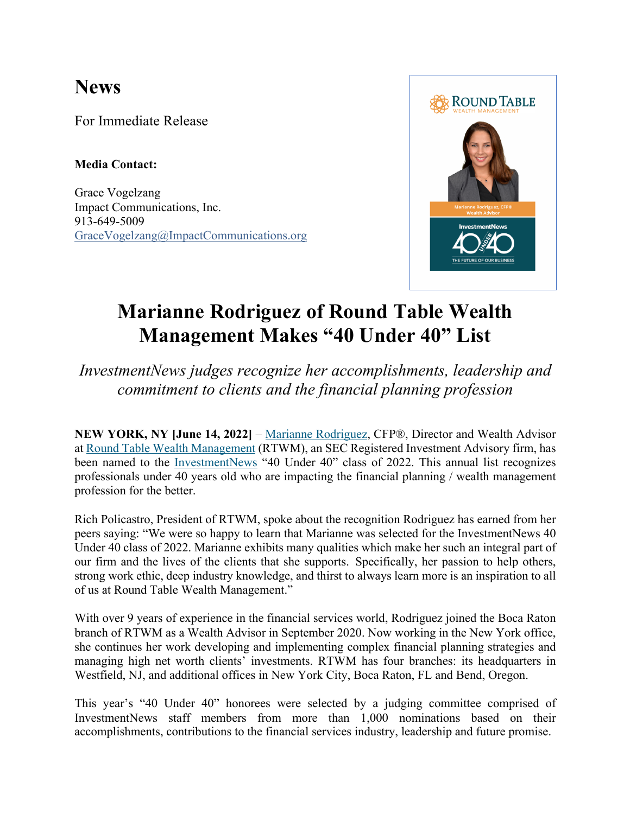## **News**

For Immediate Release

**Media Contact:**

Grace Vogelzang Impact Communications, Inc. 913-649-5009 GraceVogelzang@ImpactCommunications.org



## **Marianne Rodriguez of Round Table Wealth Management Makes "40 Under 40" List**

*InvestmentNews judges recognize her accomplishments, leadership and commitment to clients and the financial planning profession*

**NEW YORK, NY [June 14, 2022]** – Marianne Rodriguez, CFP®, Director and Wealth Advisor at Round Table Wealth Management (RTWM), an SEC Registered Investment Advisory firm, has been named to the InvestmentNews "40 Under 40" class of 2022. This annual list recognizes professionals under 40 years old who are impacting the financial planning / wealth management profession for the better.

Rich Policastro, President of RTWM, spoke about the recognition Rodriguez has earned from her peers saying: "We were so happy to learn that Marianne was selected for the InvestmentNews 40 Under 40 class of 2022. Marianne exhibits many qualities which make her such an integral part of our firm and the lives of the clients that she supports. Specifically, her passion to help others, strong work ethic, deep industry knowledge, and thirst to always learn more is an inspiration to all of us at Round Table Wealth Management."

With over 9 years of experience in the financial services world, Rodriguez joined the Boca Raton branch of RTWM as a Wealth Advisor in September 2020. Now working in the New York office, she continues her work developing and implementing complex financial planning strategies and managing high net worth clients' investments. RTWM has four branches: its headquarters in Westfield, NJ, and additional offices in New York City, Boca Raton, FL and Bend, Oregon.

This year's "40 Under 40" honorees were selected by a judging committee comprised of InvestmentNews staff members from more than 1,000 nominations based on their accomplishments, contributions to the financial services industry, leadership and future promise.